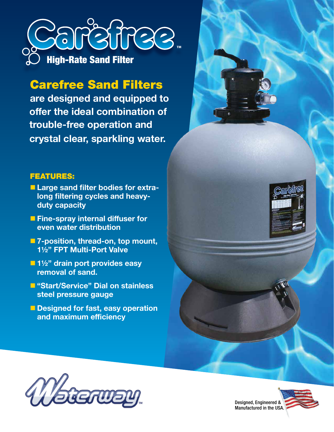

## Carefree Sand Filters

**are designed and equipped to offer the ideal combination of trouble-free operation and crystal clear, sparkling water.**

## FEATURES:

- **E Large sand filter bodies for extralong filtering cycles and heavyduty capacity**
- **Fine-spray internal diffuser for even water distribution**
- 7-position, thread-on, top mount, **1½" FPT Multi-Port Valve**
- $\blacksquare$  **1½" drain port provides easy removal of sand.**
- n **"Start/Service" Dial on stainless steel pressure gauge**
- **n** Designed for fast, easy operation **and maximum efficiency**